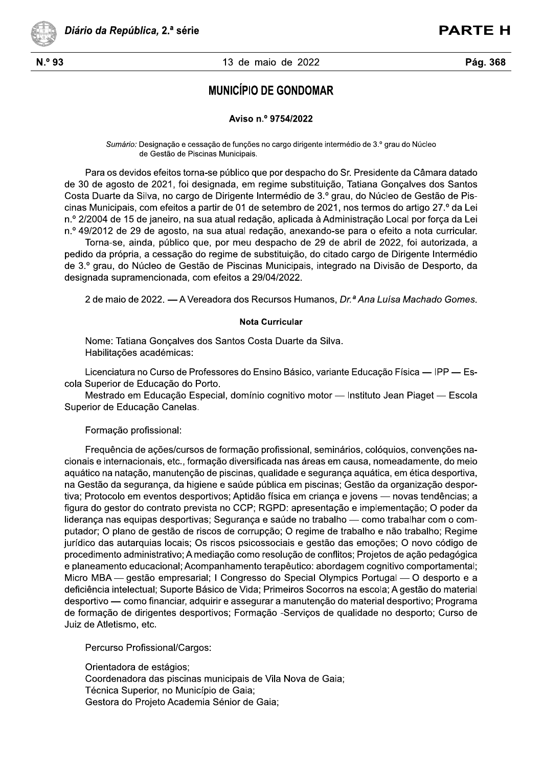

### $93$  and  $13$  de 13 de maio de 2022

# Diário da República, 2.ª série<br>
13 de maio de 2022<br>
Pág. 368<br>
MUNICÍPIO DE GONDOMAR<br>
Aviso n.º 9754/2022

## Aviso n.º 9754/2022

S*umario:* Designação e cessação de funções no cargo dirigente intermedio de 3.º grau do Nucleo de Gestao de Piscinas Municipais.

Para os devidos efeitos torna-se publico que por despacho do Sr. Presidente da Camara datado de 30 de agosto de 2021, foi designada, em regime substituição, Tatiana Gonçaives dos Santos Costa Duarte da Silva, no cargo de Dirigente Intermedio de 3.º grau, do Nucleo de Gestao de Piscinas Municipais, com efeitos a partir de 01 de setembro de 2021, nos termos do artigo 27.º da Lei n.° 2/2004 de 15 de janeiro, na sua atual redação, aplicada a Administração Local por força da Lei n.º 49/2012 de 29 de agosto, na sua atual redação, anexando-se para o efeito a nota curricular.

 $P$  iorna-se, ainda, publico que, por meu despacho de 29 de abril de 2022, foi autorizada, a pedido da propria, a cessação do regime de substituição, do citado cargo de Dirigente Intermedio de 3.º grau, do Nucleo de Gestao de Piscinas Municipais, integrado na Divisao de Desporto, da designada supramencionada, com efeitos a 29/04/2022.

 $\boldsymbol{z}$  de maio de 2022. — A vereadora dos Recursos Humanos, *Dr.ª Ana Luisa Machado Gomes.* 

### **Nota Curricular**

Nome: Tatiana Gonçaives dos Santos Costa Duarte da Silva. Habilitações academicas:

Licenciatura no Curso de Professores do Ensino Basico, variante Educação Física — IPP — Escola Superior de Educaçao do Porto.

Mestrado em Educação Especial, dominio cognitivo motor — Instituto Jean Piaget — Escola Superior de Educação Canelas.

Formação profissional:

Frequencia de ações/cursos de formação profissional, seminarios, colóquios, convenções nacionais e internacionais, etc., formação diversificada nas areas em causa, nomeadamente, do meio aquatico na natação, manutenção de piscinas, qualidade e segurança aquatica, em etica desportiva,  $\alpha$ na Gestao da segurança, da niglene e saude publica em piscinas; Gestao da organização desportiva; Protocolo em eventos desportivos; Aptidao física em criança e jovens — novas tendencias; a figura do gestor do contrato prevista no CCP; RGPD: apresentação e implementação; O poder da liderança nas equipas desportivas; Segurança e saude no trabalho — como trabalhar com o computador; O plano de gestao de riscos de corrupçao; O regime de trabaino e nao trabaino; Regime juridico das autarquias locais; Os riscos psicossociais e gestao das emoções; O novo codigo de procedimento administrativo; A mediação como resolução de conflitos; Projetos de ação pedagogica e planeamento equcacional; Acompannamento terapeutico: abordagem cognitivo comportamental; ivilcro MBA — gestao empresarial; i Congresso do Special Olympics Portugal — O desporto e a deficiencia intelectual; Suporte Basico de Vida; Primeiros Socorros na escola; A gestão do material desportivo — como financiar, adquirir e assegurar a manutenção do material desportivo; Programa de formação de dirigentes desportivos; Formação -Serviços de qualidade no desporto; Curso de Juiz de Atletismo, etc.

Percurso Profissional/Cargos:

Orientadora de estagios; Coordenadora das piscinas municipais de Vila Nova de Gala; Tecnica Superior, no Municipio de Gala; Gestora do Projeto Academia Senior de Gaia;